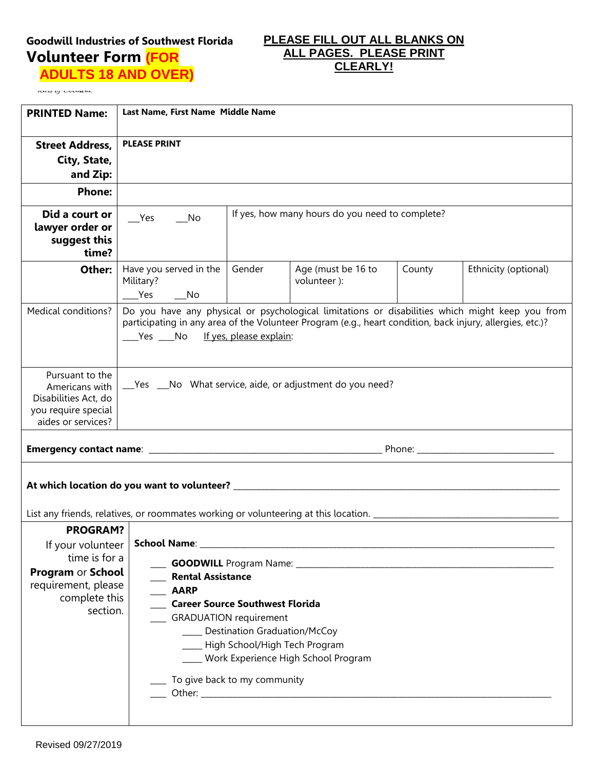# **Goodwill Industries of Southwest Florida Volunteer Form (FOR**

**ADULTS 18 AND OVER)**

## **PLEASE FILL OUT ALL BLANKS ON ALL PAGES. PLEASE PRINT CLEARLY!**

nano vy vovonom.

| <b>PRINTED Name:</b>                                                                                   | Last Name, First Name Middle Name                                                                                                                                                                                                                                                                                                                              |                                                 |                                   |        |                      |
|--------------------------------------------------------------------------------------------------------|----------------------------------------------------------------------------------------------------------------------------------------------------------------------------------------------------------------------------------------------------------------------------------------------------------------------------------------------------------------|-------------------------------------------------|-----------------------------------|--------|----------------------|
| <b>Street Address,</b>                                                                                 | <b>PLEASE PRINT</b>                                                                                                                                                                                                                                                                                                                                            |                                                 |                                   |        |                      |
| City, State,                                                                                           |                                                                                                                                                                                                                                                                                                                                                                |                                                 |                                   |        |                      |
| and Zip:                                                                                               |                                                                                                                                                                                                                                                                                                                                                                |                                                 |                                   |        |                      |
| <b>Phone:</b>                                                                                          |                                                                                                                                                                                                                                                                                                                                                                |                                                 |                                   |        |                      |
| Did a court or<br>lawyer order or<br>suggest this<br>time?                                             | Yes No                                                                                                                                                                                                                                                                                                                                                         | If yes, how many hours do you need to complete? |                                   |        |                      |
| Other:                                                                                                 | Have you served in the<br>Military?<br>$\rule{1em}{0.15mm}$ $\qquad$ $\rule{1em}{0.15mm}$ $\qquad$ $\rule{1em}{0.15mm}$ $\rule{1em}{0.15mm}$ $\rule{1em}{0.15mm}$ $\rule{1em}{0.15mm}$ $\rule{1em}{0.15mm}$ $\rule{1em}{0.15mm}$ $\rule{1em}{0.15mm}$ $\rule{1em}{0.15mm}$ $\rule{1em}{0.15mm}$ $\rule{1em}{0.15mm}$ $\rule{1em}{0.15mm}$ $\rule{1em}{0.15mm}$ | Gender                                          | Age (must be 16 to<br>volunteer): | County | Ethnicity (optional) |
| Medical conditions?                                                                                    | Do you have any physical or psychological limitations or disabilities which might keep you from<br>participating in any area of the Volunteer Program (e.g., heart condition, back injury, allergies, etc.)?<br>___Yes ___No lf yes, please explain:                                                                                                           |                                                 |                                   |        |                      |
| Pursuant to the<br>Americans with<br>Disabilities Act, do<br>you require special<br>aides or services? | __Yes __No What service, aide, or adjustment do you need?                                                                                                                                                                                                                                                                                                      |                                                 |                                   |        |                      |
|                                                                                                        |                                                                                                                                                                                                                                                                                                                                                                |                                                 |                                   |        |                      |
| List any friends, relatives, or roommates working or volunteering at this location. ________           |                                                                                                                                                                                                                                                                                                                                                                |                                                 |                                   |        |                      |
| <b>PROGRAM?</b>                                                                                        |                                                                                                                                                                                                                                                                                                                                                                |                                                 |                                   |        |                      |
| If your volunteer                                                                                      | School Name:                                                                                                                                                                                                                                                                                                                                                   |                                                 |                                   |        |                      |
| time is for a                                                                                          |                                                                                                                                                                                                                                                                                                                                                                |                                                 |                                   |        |                      |
| <b>Program or School</b><br>requirement, please                                                        | <b>Rental Assistance</b>                                                                                                                                                                                                                                                                                                                                       |                                                 |                                   |        |                      |
| complete this                                                                                          | <b>AARP</b><br><b>Career Source Southwest Florida</b>                                                                                                                                                                                                                                                                                                          |                                                 |                                   |        |                      |
| section.                                                                                               |                                                                                                                                                                                                                                                                                                                                                                | <b>GRADUATION</b> requirement                   |                                   |        |                      |
|                                                                                                        |                                                                                                                                                                                                                                                                                                                                                                | Destination Graduation/McCoy                    |                                   |        |                      |
|                                                                                                        | ____ High School/High Tech Program                                                                                                                                                                                                                                                                                                                             |                                                 |                                   |        |                      |
|                                                                                                        | ____ Work Experience High School Program                                                                                                                                                                                                                                                                                                                       |                                                 |                                   |        |                      |
|                                                                                                        |                                                                                                                                                                                                                                                                                                                                                                | To give back to my community                    |                                   |        |                      |
|                                                                                                        |                                                                                                                                                                                                                                                                                                                                                                |                                                 |                                   |        |                      |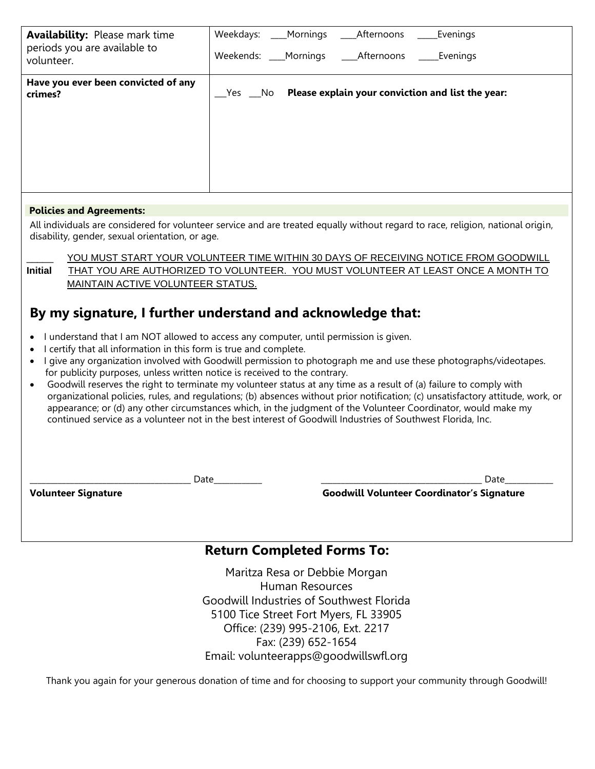| volunteer.                                     | Weekends: ___Mornings ____Afternoons _____Evenings              |
|------------------------------------------------|-----------------------------------------------------------------|
| Have you ever been convicted of any<br>crimes? | Figure 2.1 No Please explain your conviction and list the year: |

#### **Policies and Agreements:**

All individuals are considered for volunteer service and are treated equally without regard to race, religion, national origin, disability, gender, sexual orientation, or age.

YOU MUST START YOUR VOLUNTEER TIME WITHIN 30 DAYS OF RECEIVING NOTICE FROM GOODWILL **Initial** THAT YOU ARE AUTHORIZED TO VOLUNTEER. YOU MUST VOLUNTEER AT LEAST ONCE A MONTH TO MAINTAIN ACTIVE VOLUNTEER STATUS.

# **By my signature, I further understand and acknowledge that:**

- I understand that I am NOT allowed to access any computer, until permission is given.
- I certify that all information in this form is true and complete.
- I give any organization involved with Goodwill permission to photograph me and use these photographs/videotapes. for publicity purposes, unless written notice is received to the contrary.
- Goodwill reserves the right to terminate my volunteer status at any time as a result of (a) failure to comply with organizational policies, rules, and regulations; (b) absences without prior notification; (c) unsatisfactory attitude, work, or appearance; or (d) any other circumstances which, in the judgment of the Volunteer Coordinator, would make my continued service as a volunteer not in the best interest of Goodwill Industries of Southwest Florida, Inc.

\_\_\_\_\_\_\_\_\_\_\_\_\_\_\_\_\_\_\_\_\_\_\_\_\_\_\_\_\_\_\_\_\_\_\_\_\_\_\_\_ Date\_\_\_\_\_\_\_\_\_\_\_\_ \_\_\_\_\_\_\_\_\_\_\_\_\_\_\_\_\_\_\_\_\_\_\_\_\_\_\_\_\_\_\_\_\_\_\_\_\_\_\_\_ Date\_\_\_\_\_\_\_\_\_\_\_\_

**Volunteer Signature Goodwill Volunteer Coordinator's Signature**

# **Return Completed Forms To:**

Maritza Resa or Debbie Morgan Human Resources Goodwill Industries of Southwest Florida 5100 Tice Street Fort Myers, FL 33905 Office: (239) 995-2106, Ext. 2217 Fax: (239) 652-1654 Email: volunteerapps@goodwillswfl.org

Thank you again for your generous donation of time and for choosing to support your community through Goodwill!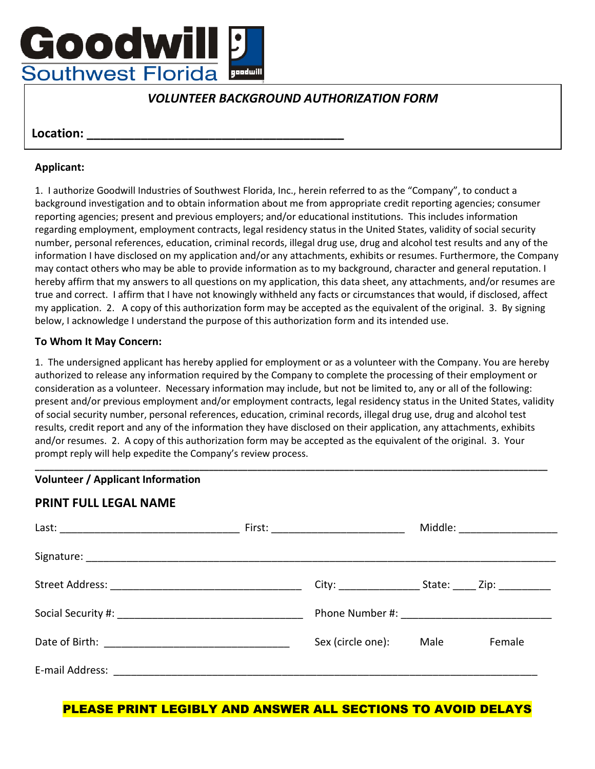

## *VOLUNTEER BACKGROUND AUTHORIZATION FORM*

### **Location: \_\_\_\_\_\_\_\_\_\_\_\_\_\_\_\_\_\_\_\_\_\_\_\_\_\_\_\_\_\_\_\_\_\_\_\_\_\_**

### **Applicant:**

1. I authorize Goodwill Industries of Southwest Florida, Inc., herein referred to as the "Company", to conduct a background investigation and to obtain information about me from appropriate credit reporting agencies; consumer reporting agencies; present and previous employers; and/or educational institutions. This includes information regarding employment, employment contracts, legal residency status in the United States, validity of social security number, personal references, education, criminal records, illegal drug use, drug and alcohol test results and any of the information I have disclosed on my application and/or any attachments, exhibits or resumes. Furthermore, the Company may contact others who may be able to provide information as to my background, character and general reputation. I hereby affirm that my answers to all questions on my application, this data sheet, any attachments, and/or resumes are true and correct. I affirm that I have not knowingly withheld any facts or circumstances that would, if disclosed, affect my application. 2. A copy of this authorization form may be accepted as the equivalent of the original. 3. By signing below, I acknowledge I understand the purpose of this authorization form and its intended use.

### **To Whom It May Concern:**

1. The undersigned applicant has hereby applied for employment or as a volunteer with the Company. You are hereby authorized to release any information required by the Company to complete the processing of their employment or consideration as a volunteer. Necessary information may include, but not be limited to, any or all of the following: present and/or previous employment and/or employment contracts, legal residency status in the United States, validity of social security number, personal references, education, criminal records, illegal drug use, drug and alcohol test results, credit report and any of the information they have disclosed on their application, any attachments, exhibits and/or resumes. 2. A copy of this authorization form may be accepted as the equivalent of the original. 3. Your prompt reply will help expedite the Company's review process.

**\_\_\_\_\_\_\_\_\_\_\_\_\_\_\_\_\_\_\_\_\_\_\_\_\_\_\_\_\_\_\_\_\_\_\_\_\_\_\_\_\_\_\_\_\_\_\_\_\_\_\_\_\_\_\_\_\_\_\_\_\_\_\_\_\_\_\_\_\_\_\_\_\_\_\_\_\_\_\_\_\_\_\_\_\_\_\_\_\_\_\_\_\_\_\_\_\_\_\_\_\_\_\_\_\_\_**

### **Volunteer / Applicant Information**

## **PRINT FULL LEGAL NAME**

| First: ______________________________ |      | Middle: __________________ |
|---------------------------------------|------|----------------------------|
|                                       |      |                            |
|                                       |      |                            |
|                                       |      |                            |
| Sex (circle one):                     | Male | Female                     |
|                                       |      |                            |

## PLEASE PRINT LEGIBLY AND ANSWER ALL SECTIONS TO AVOID DELAYS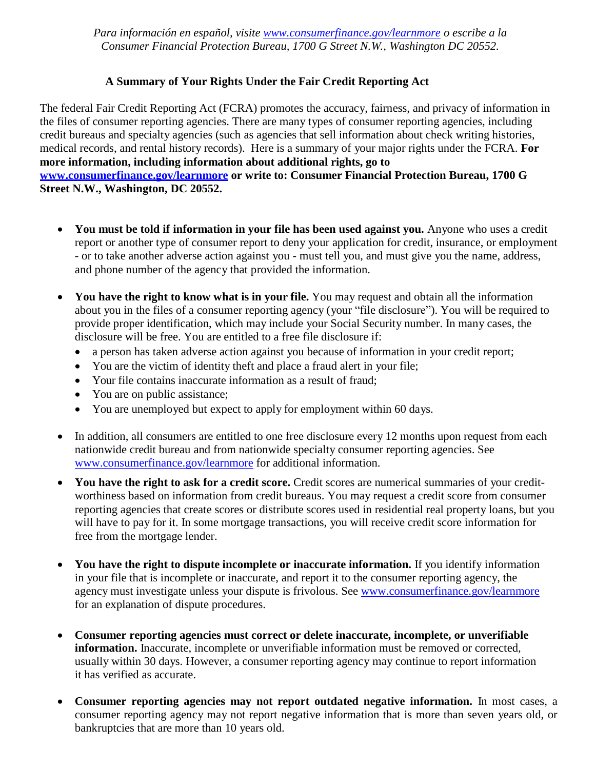*Para información en español, visite [www.consumerfinance.gov/learnmore](http://www.consumerfinance.gov/learnmore) o escribe a la Consumer Financial Protection Bureau, 1700 G Street N.W., Washington DC 20552.*

### **A Summary of Your Rights Under the Fair Credit Reporting Act**

The federal Fair Credit Reporting Act (FCRA) promotes the accuracy, fairness, and privacy of information in the files of consumer reporting agencies. There are many types of consumer reporting agencies, including credit bureaus and specialty agencies (such as agencies that sell information about check writing histories, medical records, and rental history records). Here is a summary of your major rights under the FCRA. **For more information, including information about additional rights, go to [www.consumerfinance.gov/learnmore](http://www.consumerfinance.gov/learnmore) or write to: Consumer Financial Protection Bureau, 1700 G Street N.W., Washington, DC 20552.**

- **You must be told if information in your file has been used against you.** Anyone who uses a credit report or another type of consumer report to deny your application for credit, insurance, or employment - or to take another adverse action against you - must tell you, and must give you the name, address, and phone number of the agency that provided the information.
- **You have the right to know what is in your file.** You may request and obtain all the information about you in the files of a consumer reporting agency (your "file disclosure"). You will be required to provide proper identification, which may include your Social Security number. In many cases, the disclosure will be free. You are entitled to a free file disclosure if:
	- a person has taken adverse action against you because of information in your credit report;
	- You are the victim of identity theft and place a fraud alert in your file;
	- Your file contains inaccurate information as a result of fraud;
	- You are on public assistance;
	- You are unemployed but expect to apply for employment within 60 days.
- In addition, all consumers are entitled to one free disclosure every 12 months upon request from each nationwide credit bureau and from nationwide specialty consumer reporting agencies. See [www.consumerfinance.gov/learnmore](http://www.consumerfinance.gov/learnmore) for additional information.
- **You have the right to ask for a credit score.** Credit scores are numerical summaries of your creditworthiness based on information from credit bureaus. You may request a credit score from consumer reporting agencies that create scores or distribute scores used in residential real property loans, but you will have to pay for it. In some mortgage transactions, you will receive credit score information for free from the mortgage lender.
- **You have the right to dispute incomplete or inaccurate information.** If you identify information in your file that is incomplete or inaccurate, and report it to the consumer reporting agency, the agency must investigate unless your dispute is frivolous. See [www.consumerfinance.gov/learnmore](http://www.consumerfinance.gov/learnmore) for an explanation of dispute procedures.
- **Consumer reporting agencies must correct or delete inaccurate, incomplete, or unverifiable information.** Inaccurate, incomplete or unverifiable information must be removed or corrected, usually within 30 days. However, a consumer reporting agency may continue to report information it has verified as accurate.
- **Consumer reporting agencies may not report outdated negative information.** In most cases, a consumer reporting agency may not report negative information that is more than seven years old, or bankruptcies that are more than 10 years old.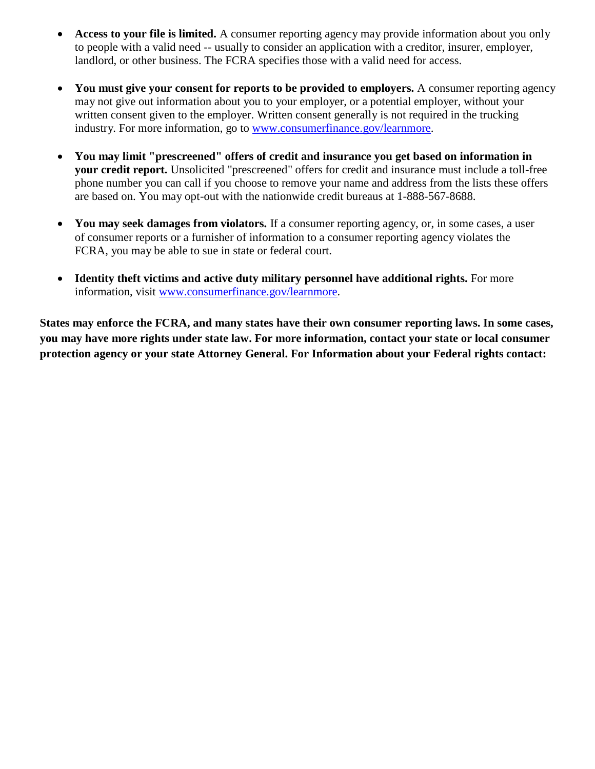- **Access to your file is limited.** A consumer reporting agency may provide information about you only to people with a valid need -- usually to consider an application with a creditor, insurer, employer, landlord, or other business. The FCRA specifies those with a valid need for access.
- **You must give your consent for reports to be provided to employers.** A consumer reporting agency may not give out information about you to your employer, or a potential employer, without your written consent given to the employer. Written consent generally is not required in the trucking industry. For more information, go to [www.consumerfinance.gov/learnmore.](http://www.consumerfinance.gov/learnmore)
- **You may limit "prescreened" offers of credit and insurance you get based on information in your credit report.** Unsolicited "prescreened" offers for credit and insurance must include a toll-free phone number you can call if you choose to remove your name and address from the lists these offers are based on. You may opt-out with the nationwide credit bureaus at 1-888-567-8688.
- **You may seek damages from violators.** If a consumer reporting agency, or, in some cases, a user of consumer reports or a furnisher of information to a consumer reporting agency violates the FCRA, you may be able to sue in state or federal court.
- **Identity theft victims and active duty military personnel have additional rights.** For more information, visit [www.consumerfinance.gov/learnmore.](http://www.consumerfinance.gov/learnmore)

**States may enforce the FCRA, and many states have their own consumer reporting laws. In some cases, you may have more rights under state law. For more information, contact your state or local consumer protection agency or your state Attorney General. For Information about your Federal rights contact:**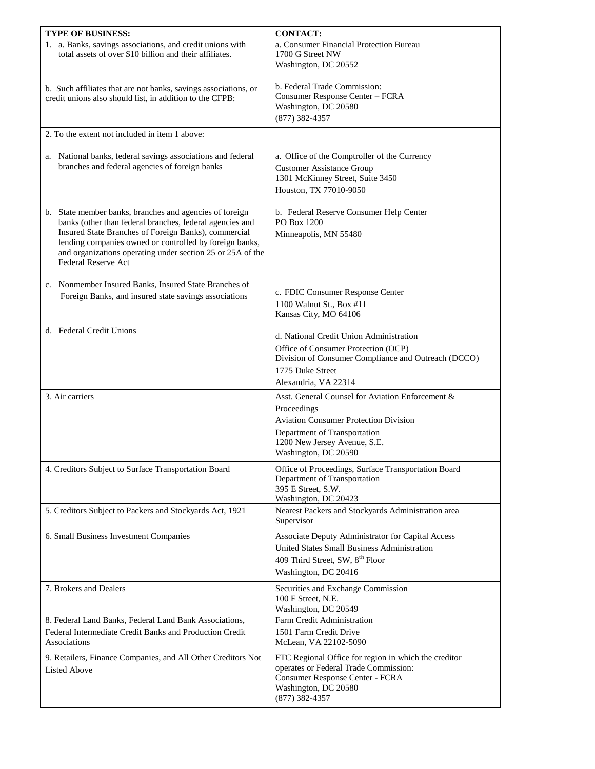| <b>TYPE OF BUSINESS:</b>                                                                                                                                                                                                                                                                                                           | <b>CONTACT:</b>                                                                                                                                                         |  |  |
|------------------------------------------------------------------------------------------------------------------------------------------------------------------------------------------------------------------------------------------------------------------------------------------------------------------------------------|-------------------------------------------------------------------------------------------------------------------------------------------------------------------------|--|--|
| 1. a. Banks, savings associations, and credit unions with<br>total assets of over \$10 billion and their affiliates.                                                                                                                                                                                                               | a. Consumer Financial Protection Bureau<br>1700 G Street NW                                                                                                             |  |  |
|                                                                                                                                                                                                                                                                                                                                    | Washington, DC 20552                                                                                                                                                    |  |  |
| b. Such affiliates that are not banks, savings associations, or<br>credit unions also should list, in addition to the CFPB:                                                                                                                                                                                                        | b. Federal Trade Commission:<br>Consumer Response Center - FCRA<br>Washington, DC 20580<br>$(877)$ 382-4357                                                             |  |  |
| 2. To the extent not included in item 1 above:                                                                                                                                                                                                                                                                                     |                                                                                                                                                                         |  |  |
| a. National banks, federal savings associations and federal<br>branches and federal agencies of foreign banks                                                                                                                                                                                                                      | a. Office of the Comptroller of the Currency<br><b>Customer Assistance Group</b><br>1301 McKinney Street, Suite 3450<br>Houston, TX 77010-9050                          |  |  |
| b. State member banks, branches and agencies of foreign<br>banks (other than federal branches, federal agencies and<br>Insured State Branches of Foreign Banks), commercial<br>lending companies owned or controlled by foreign banks,<br>and organizations operating under section 25 or 25A of the<br><b>Federal Reserve Act</b> | b. Federal Reserve Consumer Help Center<br>PO Box 1200<br>Minneapolis, MN 55480                                                                                         |  |  |
| c. Nonmember Insured Banks, Insured State Branches of<br>Foreign Banks, and insured state savings associations                                                                                                                                                                                                                     | c. FDIC Consumer Response Center<br>1100 Walnut St., Box #11<br>Kansas City, MO 64106                                                                                   |  |  |
| d. Federal Credit Unions                                                                                                                                                                                                                                                                                                           | d. National Credit Union Administration                                                                                                                                 |  |  |
|                                                                                                                                                                                                                                                                                                                                    | Office of Consumer Protection (OCP)                                                                                                                                     |  |  |
|                                                                                                                                                                                                                                                                                                                                    | Division of Consumer Compliance and Outreach (DCCO)                                                                                                                     |  |  |
|                                                                                                                                                                                                                                                                                                                                    | 1775 Duke Street                                                                                                                                                        |  |  |
|                                                                                                                                                                                                                                                                                                                                    | Alexandria, VA 22314                                                                                                                                                    |  |  |
| 3. Air carriers                                                                                                                                                                                                                                                                                                                    | Asst. General Counsel for Aviation Enforcement &                                                                                                                        |  |  |
|                                                                                                                                                                                                                                                                                                                                    | Proceedings<br><b>Aviation Consumer Protection Division</b>                                                                                                             |  |  |
|                                                                                                                                                                                                                                                                                                                                    | Department of Transportation<br>1200 New Jersey Avenue, S.E.<br>Washington, DC 20590                                                                                    |  |  |
| 4. Creditors Subject to Surface Transportation Board                                                                                                                                                                                                                                                                               | Office of Proceedings, Surface Transportation Board<br>Department of Transportation<br>395 E Street, S.W.<br>Washington, DC 20423                                       |  |  |
| 5. Creditors Subject to Packers and Stockyards Act, 1921                                                                                                                                                                                                                                                                           | Nearest Packers and Stockyards Administration area<br>Supervisor                                                                                                        |  |  |
| 6. Small Business Investment Companies                                                                                                                                                                                                                                                                                             | Associate Deputy Administrator for Capital Access<br>United States Small Business Administration<br>409 Third Street, SW, 8 <sup>th</sup> Floor<br>Washington, DC 20416 |  |  |
| 7. Brokers and Dealers                                                                                                                                                                                                                                                                                                             | Securities and Exchange Commission<br>100 F Street, N.E.<br>Washington, DC 20549                                                                                        |  |  |
| 8. Federal Land Banks, Federal Land Bank Associations,                                                                                                                                                                                                                                                                             | Farm Credit Administration                                                                                                                                              |  |  |
| Federal Intermediate Credit Banks and Production Credit<br>Associations                                                                                                                                                                                                                                                            | 1501 Farm Credit Drive<br>McLean, VA 22102-5090                                                                                                                         |  |  |
| 9. Retailers, Finance Companies, and All Other Creditors Not                                                                                                                                                                                                                                                                       | FTC Regional Office for region in which the creditor                                                                                                                    |  |  |
| <b>Listed Above</b>                                                                                                                                                                                                                                                                                                                | operates or Federal Trade Commission:<br>Consumer Response Center - FCRA<br>Washington, DC 20580<br>$(877)$ 382-4357                                                    |  |  |
|                                                                                                                                                                                                                                                                                                                                    |                                                                                                                                                                         |  |  |